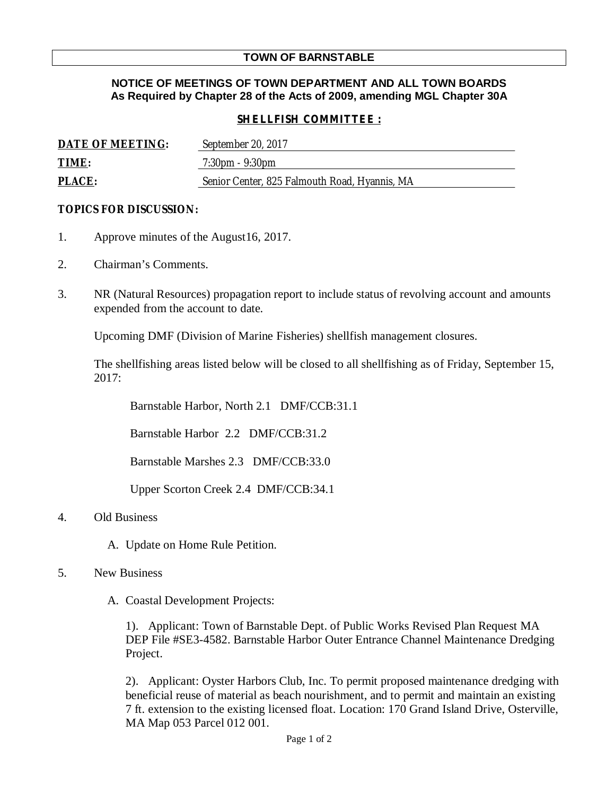# **TOWN OF BARNSTABLE**

# **NOTICE OF MEETINGS OF TOWN DEPARTMENT AND ALL TOWN BOARDS As Required by Chapter 28 of the Acts of 2009, amending MGL Chapter 30A**

### *SHELLFISH COMMITTEE :*

| DATE OF MEETING: | September 20, 2017                            |
|------------------|-----------------------------------------------|
| TIME:            | $7:30 \text{pm} - 9:30 \text{pm}$             |
| PLACE:           | Senior Center, 825 Falmouth Road, Hyannis, MA |

#### **TOPICS FOR DISCUSSION:**

- 1. Approve minutes of the August16, 2017.
- 2. Chairman's Comments.
- 3. NR (Natural Resources) propagation report to include status of revolving account and amounts expended from the account to date.

Upcoming DMF (Division of Marine Fisheries) shellfish management closures.

The shellfishing areas listed below will be closed to all shellfishing as of Friday, September 15, 2017:

Barnstable Harbor, North 2.1 DMF/CCB:31.1

Barnstable Harbor 2.2 DMF/CCB:31.2

Barnstable Marshes 2.3 DMF/CCB:33.0

Upper Scorton Creek 2.4 DMF/CCB:34.1

#### 4. Old Business

A. Update on Home Rule Petition.

### 5. New Business

A. Coastal Development Projects:

1). Applicant: Town of Barnstable Dept. of Public Works Revised Plan Request MA DEP File #SE3-4582. Barnstable Harbor Outer Entrance Channel Maintenance Dredging Project.

2). Applicant: Oyster Harbors Club, Inc. To permit proposed maintenance dredging with beneficial reuse of material as beach nourishment, and to permit and maintain an existing 7 ft. extension to the existing licensed float. Location: 170 Grand Island Drive, Osterville, MA Map 053 Parcel 012 001.